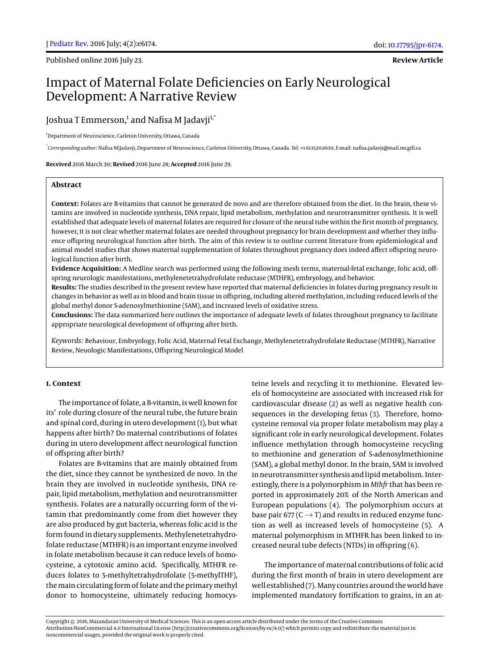Published online 2016 July 23.

**Review Article**

# Impact of Maternal Folate Deficiencies on Early Neurological Development: A Narrative Review

Joshua T Emmerson,<sup>1</sup> and Nafisa M Jadavji<sup>1,\*</sup>

<sup>1</sup>Department of Neuroscience, Carleton University, Ottawa, Canada

\* *Corresponding author*: Nafisa M|Jadavji, Department of Neuroscience, Carleton University, Ottawa, Canada. Tel: +1-6135202600, E-mail: nafisa.jadavji@mail.mcgill.ca

**Received** 2016 March 30; **Revised** 2016 June 28; **Accepted** 2016 June 29.

# **Abstract**

**Context:** Folates are B-vitamins that cannot be generated de novo and are therefore obtained from the diet. In the brain, these vitamins are involved in nucleotide synthesis, DNA repair, lipid metabolism, methylation and neurotransmitter synthesis. It is well established that adequate levels of maternal folates are required for closure of the neural tube within the first month of pregnancy, however, it is not clear whether maternal folates are needed throughout pregnancy for brain development and whether they influence offspring neurological function after birth. The aim of this review is to outline current literature from epidemiological and animal model studies that shows maternal supplementation of folates throughout pregnancy does indeed affect offspring neurological function after birth.

**Evidence Acquisition:** A Medline search was performed using the following mesh terms, maternal-fetal exchange, folic acid, offspring neurologic manifestations, methylenetetrahydrofolate reductase (MTHFR), embryology, and behavior.

**Results:** The studies described in the present review have reported that maternal deficiencies in folates during pregnancy result in changes in behavior as well as in blood and brain tissue in offspring, including altered methylation, including reduced levels of the global methyl donor S-adenosylmethionine (SAM), and increased levels of oxidative stress.

**Conclusions:** The data summarized here outlines the importance of adequate levels of folates throughout pregnancy to facilitate appropriate neurological development of offspring after birth.

*Keywords:* Behaviour, Embryology, Folic Acid, Maternal Fetal Exchange, Methylenetetrahydrofolate Reductase (MTHFR), Narrative Review, Neuologic Manifestations, Offspring Neurological Model

## **1. Context**

The importance of folate, a B-vitamin, is well known for its' role during closure of the neural tube, the future brain and spinal cord, during in utero development [\(1\)](#page-4-0), but what happens after birth? Do maternal contributions of folates during in utero development affect neurological function of offspring after birth?

Folates are B-vitamins that are mainly obtained from the diet, since they cannot be synthesized de novo. In the brain they are involved in nucleotide synthesis, DNA repair, lipid metabolism, methylation and neurotransmitter synthesis. Folates are a naturally occurring form of the vitamin that predominantly come from diet however they are also produced by gut bacteria, whereas folic acid is the form found in dietary supplements. Methylenetetrahydrofolate reductase (MTHFR) is an important enzyme involved in folate metabolism because it can reduce levels of homocysteine, a cytotoxic amino acid. Specifically, MTHFR reduces folates to 5-methyltetrahydrofolate (5-methylTHF), the main circulating form of folate and the primary methyl donor to homocysteine, ultimately reducing homocys-

teine levels and recycling it to methionine. Elevated levels of homocysteine are associated with increased risk for cardiovascular disease [\(2\)](#page-4-1) as well as negative health consequences in the developing fetus [\(3\)](#page-4-2). Therefore, homocysteine removal via proper folate metabolism may play a significant role in early neurological development. Folates influence methylation through homocysteine recycling to methionine and generation of S-adenosylmethionine (SAM), a global methyl donor. In the brain, SAM is involved in neurotransmitter synthesis and lipid metabolism. Interestingly, there is a polymorphism in *Mthfr* that has been reported in approximately 20% of the North American and European populations [\(4\)](#page-4-3). The polymorphism occurs at base pair 677 (C  $\rightarrow$  T) and results in reduced enzyme function as well as increased levels of homocysteine [\(5\)](#page-4-4). A maternal polymorphism in MTHFR has been linked to increased neural tube defects (NTDs) in offspring [\(6\)](#page-4-5).

The importance of maternal contributions of folic acid during the first month of brain in utero development are well established [\(7\)](#page-4-6). Many countries around the world have implemented mandatory fortification to grains, in an at-

Copyright © 2016, Mazandaran University of Medical Sciences. This is an open-access article distributed under the terms of the Creative Commons Attribution-NonCommercial 4.0 International License (http://creativecommons.org/licenses/by-nc/4.0/) which permits copy and redistribute the material just in noncommercial usages, provided the original work is properly cited.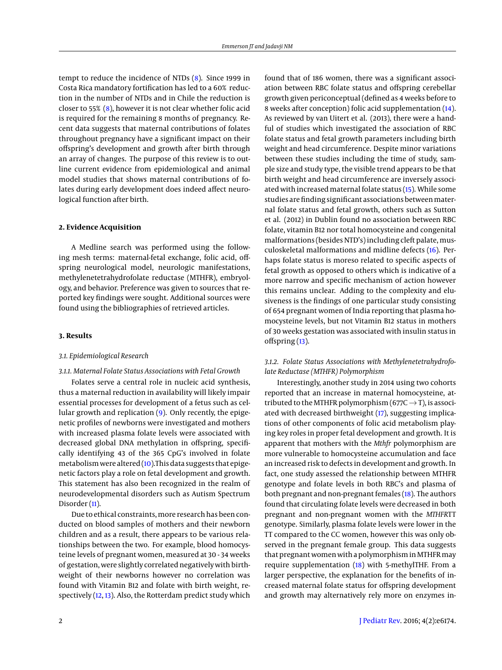tempt to reduce the incidence of NTDs [\(8\)](#page-4-7). Since 1999 in Costa Rica mandatory fortification has led to a 60% reduction in the number of NTDs and in Chile the reduction is closer to 55% [\(8\)](#page-4-7), however it is not clear whether folic acid is required for the remaining 8 months of pregnancy. Recent data suggests that maternal contributions of folates throughout pregnancy have a significant impact on their offspring's development and growth after birth through an array of changes. The purpose of this review is to outline current evidence from epidemiological and animal model studies that shows maternal contributions of folates during early development does indeed affect neurological function after birth.

#### **2. Evidence Acquisition**

A Medline search was performed using the following mesh terms: maternal-fetal exchange, folic acid, offspring neurological model, neurologic manifestations, methylenetetrahydrofolate reductase (MTHFR), embryology, and behavior. Preference was given to sources that reported key findings were sought. Additional sources were found using the bibliographies of retrieved articles.

#### **3. Results**

#### *3.1. Epidemiological Research*

#### *3.1.1. Maternal Folate Status Associations with Fetal Growth*

Folates serve a central role in nucleic acid synthesis, thus a maternal reduction in availability will likely impair essential processes for development of a fetus such as cellular growth and replication [\(9\)](#page-4-8). Only recently, the epigenetic profiles of newborns were investigated and mothers with increased plasma folate levels were associated with decreased global DNA methylation in offspring, specifically identifying 43 of the 365 CpG's involved in folate metabolism were altered  $(10)$ . This data suggests that epigenetic factors play a role on fetal development and growth. This statement has also been recognized in the realm of neurodevelopmental disorders such as Autism Spectrum Disorder [\(11\)](#page-4-10).

Due to ethical constraints, more research has been conducted on blood samples of mothers and their newborn children and as a result, there appears to be various relationships between the two. For example, blood homocysteine levels of pregnant women, measured at 30 - 34 weeks of gestation, were slightly correlated negatively with birthweight of their newborns however no correlation was found with Vitamin B12 and folate with birth weight, respectively [\(12,](#page-4-11) [13\)](#page-4-12). Also, the Rotterdam predict study which

found that of 186 women, there was a significant association between RBC folate status and offspring cerebellar growth given periconceptual (defined as 4 weeks before to 8 weeks after conception) folic acid supplementation [\(14\)](#page-4-13). As reviewed by van Uitert et al. (2013), there were a handful of studies which investigated the association of RBC folate status and fetal growth parameters including birth weight and head circumference. Despite minor variations between these studies including the time of study, sample size and study type, the visible trend appears to be that birth weight and head circumference are inversely associated with increased maternal folate status [\(15\)](#page-4-14). While some studies are finding significant associations between maternal folate status and fetal growth, others such as Sutton et al. (2012) in Dublin found no association between RBC folate, vitamin B12 nor total homocysteine and congenital malformations (besides NTD's) including cleft palate, musculoskeletal malformations and midline defects [\(16\)](#page-4-15). Perhaps folate status is moreso related to specific aspects of fetal growth as opposed to others which is indicative of a more narrow and specific mechanism of action however this remains unclear. Adding to the complexity and elusiveness is the findings of one particular study consisting of 654 pregnant women of India reporting that plasma homocysteine levels, but not Vitamin B12 status in mothers of 30 weeks gestation was associated with insulin status in offspring  $(13)$ .

## *3.1.2. Folate Status Associations with Methylenetetrahydrofolate Reductase (MTHFR) Polymorphism*

Interestingly, another study in 2014 using two cohorts reported that an increase in maternal homocysteine, attributed to the MTHFR polymorphism (677C $\rightarrow$ T), is associated with decreased birthweight [\(17\)](#page-5-0), suggesting implications of other components of folic acid metabolism playing key roles in proper fetal development and growth. It is apparent that mothers with the *Mthfr* polymorphism are more vulnerable to homocysteine accumulation and face an increased risk to defects in development and growth. In fact, one study assessed the relationship between MTHFR genotype and folate levels in both RBC's and plasma of both pregnant and non-pregnant females [\(18\)](#page-5-1). The authors found that circulating folate levels were decreased in both pregnant and non-pregnant women with the *MTHFR*TT genotype. Similarly, plasma folate levels were lower in the TT compared to the CC women, however this was only observed in the pregnant female group. This data suggests that pregnant women with a polymorphism inMTHFRmay require supplementation [\(18\)](#page-5-1) with 5-methylTHF. From a larger perspective, the explanation for the benefits of increased maternal folate status for offspring development and growth may alternatively rely more on enzymes in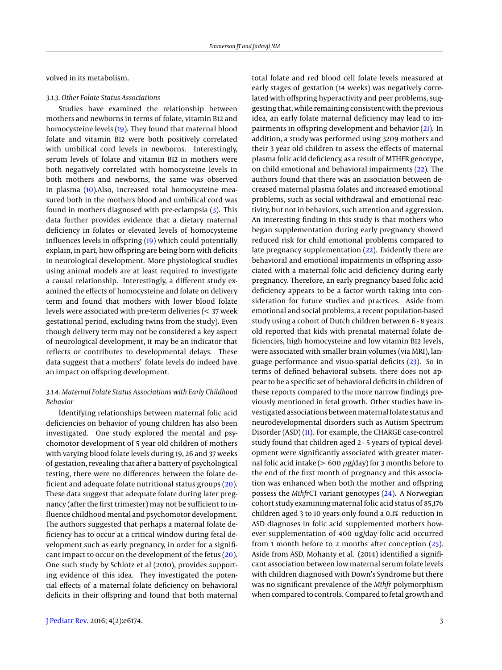volved in its metabolism.

#### *3.1.3. Other Folate Status Associations*

Studies have examined the relationship between mothers and newborns in terms of folate, vitamin B12 and homocysteine levels [\(19\)](#page-5-2). They found that maternal blood folate and vitamin B12 were both positively correlated with umbilical cord levels in newborns. Interestingly, serum levels of folate and vitamin B12 in mothers were both negatively correlated with homocysteine levels in both mothers and newborns, the same was observed in plasma [\(10\)](#page-4-9).Also, increased total homocysteine measured both in the mothers blood and umbilical cord was found in mothers diagnosed with pre-eclampsia [\(3\)](#page-4-2). This data further provides evidence that a dietary maternal deficiency in folates or elevated levels of homocysteine influences levels in offspring [\(19\)](#page-5-2) which could potentially explain, in part, how offspring are being born with deficits in neurological development. More physiological studies using animal models are at least required to investigate a causal relationship. Interestingly, a different study examined the effects of homocysteine and folate on delivery term and found that mothers with lower blood folate levels were associated with pre-term deliveries (< 37 week gestational period, excluding twins from the study). Even though delivery term may not be considered a key aspect of neurological development, it may be an indicator that reflects or contributes to developmental delays. These data suggest that a mothers' folate levels do indeed have an impact on offspring development.

# *3.1.4. Maternal Folate Status Associations with Early Childhood Behavior*

Identifying relationships between maternal folic acid deficiencies on behavior of young children has also been investigated. One study explored the mental and psychomotor development of 5 year old children of mothers with varying blood folate levels during 19, 26 and 37 weeks of gestation, revealing that after a battery of psychological testing, there were no differences between the folate deficient and adequate folate nutritional status groups [\(20\)](#page-5-3). These data suggest that adequate folate during later pregnancy (after the first trimester) may not be sufficient to influence childhood mental and psychomotor development. The authors suggested that perhaps a maternal folate deficiency has to occur at a critical window during fetal development such as early pregnancy, in order for a significant impact to occur on the development of the fetus [\(20\)](#page-5-3). One such study by Schlotz et al (2010), provides supporting evidence of this idea. They investigated the potential effects of a maternal folate deficiency on behavioral deficits in their offspring and found that both maternal

total folate and red blood cell folate levels measured at early stages of gestation (14 weeks) was negatively correlated with offspring hyperactivity and peer problems, suggesting that, while remaining consistent with the previous idea, an early folate maternal deficiency may lead to impairments in offspring development and behavior [\(21\)](#page-5-4). In addition, a study was performed using 3209 mothers and their 3 year old children to assess the effects of maternal plasma folic acid deficiency, as a result of MTHFR genotype, on child emotional and behavioral impairments [\(22\)](#page-5-5). The authors found that there was an association between decreased maternal plasma folates and increased emotional problems, such as social withdrawal and emotional reactivity, but not in behaviors, such attention and aggression. An interesting finding in this study is that mothers who began supplementation during early pregnancy showed reduced risk for child emotional problems compared to late pregnancy supplementation [\(22\)](#page-5-5). Evidently there are behavioral and emotional impairments in offspring associated with a maternal folic acid deficiency during early pregnancy. Therefore, an early pregnancy based folic acid deficiency appears to be a factor worth taking into consideration for future studies and practices. Aside from emotional and social problems, a recent population-based study using a cohort of Dutch children between 6 - 8 years old reported that kids with prenatal maternal folate deficiencies, high homocysteine and low vitamin B12 levels, were associated with smaller brain volumes (via MRI), language performance and visuo-spatial deficits [\(23\)](#page-5-6). So in terms of defined behavioral subsets, there does not appear to be a specific set of behavioral deficits in children of these reports compared to the more narrow findings previously mentioned in fetal growth. Other studies have investigated associations betweenmaternal folate status and neurodevelopmental disorders such as Autism Spectrum Disorder (ASD) [\(11\)](#page-4-10). For example, the CHARGE case-control study found that children aged 2 - 5 years of typical development were significantly associated with greater maternal folic acid intake ( $> 600 \mu$ g/day) for 3 months before to the end of the first month of pregnancy and this association was enhanced when both the mother and offspring possess the *Mthfr*CT variant genotypes [\(24\)](#page-5-7). A Norwegian cohort study examining maternal folic acid status of 85,176 children aged 3 to 10 years only found a 0.1% reduction in ASD diagnoses in folic acid supplemented mothers however supplementation of 400 ug/day folic acid occurred from 1 month before to 2 months after conception [\(25\)](#page-5-8). Aside from ASD, Mohanty et al. (2014) identified a significant association between low maternal serum folate levels with children diagnosed with Down's Syndrome but there was no significant prevalence of the *Mthfr* polymorphism when compared to controls. Compared to fetal growth and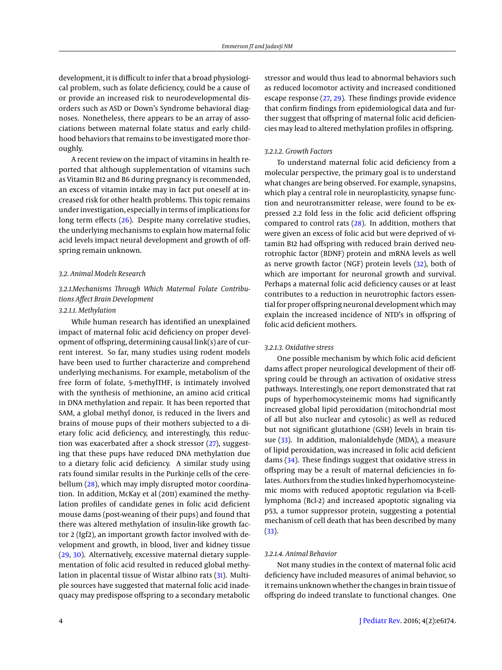development, it is difficult to infer that a broad physiological problem, such as folate deficiency, could be a cause of or provide an increased risk to neurodevelopmental disorders such as ASD or Down's Syndrome behavioral diagnoses. Nonetheless, there appears to be an array of associations between maternal folate status and early childhood behaviors that remains to be investigated more thoroughly.

A recent review on the impact of vitamins in health reported that although supplementation of vitamins such as Vitamin B12 and B6 during pregnancy is recommended, an excess of vitamin intake may in fact put oneself at increased risk for other health problems. This topic remains under investigation, especially in terms of implications for long term effects [\(26\)](#page-5-9). Despite many correlative studies, the underlying mechanisms to explain how maternal folic acid levels impact neural development and growth of offspring remain unknown.

#### *3.2. Animal Models Research*

# *3.2.1.Mechanisms Through Which Maternal Folate Contributions Affect Brain Development*

# *3.2.1.1. Methylation*

While human research has identified an unexplained impact of maternal folic acid deficiency on proper development of offspring, determining causal link(s) are of current interest. So far, many studies using rodent models have been used to further characterize and comprehend underlying mechanisms. For example, metabolism of the free form of folate, 5-methylTHF, is intimately involved with the synthesis of methionine, an amino acid critical in DNA methylation and repair. It has been reported that SAM, a global methyl donor, is reduced in the livers and brains of mouse pups of their mothers subjected to a dietary folic acid deficiency, and interestingly, this reduction was exacerbated after a shock stressor [\(27\)](#page-5-10), suggesting that these pups have reduced DNA methylation due to a dietary folic acid deficiency. A similar study using rats found similar results in the Purkinje cells of the cere-bellum [\(28\)](#page-5-11), which may imply disrupted motor coordination. In addition, McKay et al (2011) examined the methylation profiles of candidate genes in folic acid deficient mouse dams (post-weaning of their pups) and found that there was altered methylation of insulin-like growth factor 2 (Igf2), an important growth factor involved with development and growth, in blood, liver and kidney tissue [\(29,](#page-5-12) [30\)](#page-5-13). Alternatively, excessive maternal dietary supplementation of folic acid resulted in reduced global methylation in placental tissue of Wistar albino rats [\(31\)](#page-5-14). Multiple sources have suggested that maternal folic acid inadequacy may predispose offspring to a secondary metabolic

stressor and would thus lead to abnormal behaviors such as reduced locomotor activity and increased conditioned escape response [\(27,](#page-5-10) [29\)](#page-5-12). These findings provide evidence that confirm findings from epidemiological data and further suggest that offspring of maternal folic acid deficiencies may lead to altered methylation profiles in offspring.

#### *3.2.1.2. Growth Factors*

To understand maternal folic acid deficiency from a molecular perspective, the primary goal is to understand what changes are being observed. For example, synapsins, which play a central role in neuroplasticity, synapse function and neurotransmitter release, were found to be expressed 2.2 fold less in the folic acid deficient offspring compared to control rats [\(28\)](#page-5-11). In addition, mothers that were given an excess of folic acid but were deprived of vitamin B12 had offspring with reduced brain derived neurotrophic factor (BDNF) protein and mRNA levels as well as nerve growth factor (NGF) protein levels [\(32\)](#page-5-15), both of which are important for neuronal growth and survival. Perhaps a maternal folic acid deficiency causes or at least contributes to a reduction in neurotrophic factors essential for proper offspring neuronal development which may explain the increased incidence of NTD's in offspring of folic acid deficient mothers.

#### *3.2.1.3. Oxidative stress*

One possible mechanism by which folic acid deficient dams affect proper neurological development of their offspring could be through an activation of oxidative stress pathways. Interestingly, one report demonstrated that rat pups of hyperhomocysteinemic moms had significantly increased global lipid peroxidation (mitochondrial most of all but also nuclear and cytosolic) as well as reduced but not significant glutathione (GSH) levels in brain tissue [\(33\)](#page-5-16). In addition, malonialdehyde (MDA), a measure of lipid peroxidation, was increased in folic acid deficient dams [\(34\)](#page-5-17). These findings suggest that oxidative stress in offspring may be a result of maternal deficiencies in folates. Authors from the studies linked hyperhomocysteinemic moms with reduced apoptotic regulation via B-celllymphoma (Bcl-2) and increased apoptotic signaling via p53, a tumor suppressor protein, suggesting a potential mechanism of cell death that has been described by many [\(33\)](#page-5-16).

## *3.2.1.4. Animal Behavior*

Not many studies in the context of maternal folic acid deficiency have included measures of animal behavior, so it remains unknown whether the changes in brain tissue of offspring do indeed translate to functional changes. One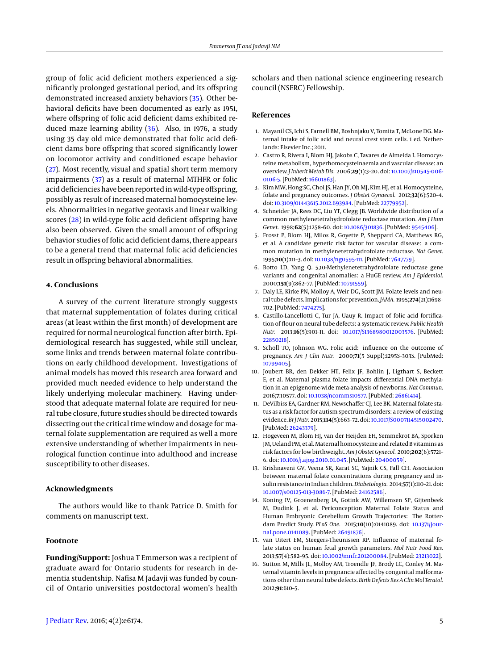group of folic acid deficient mothers experienced a significantly prolonged gestational period, and its offspring demonstrated increased anxiety behaviors [\(35\)](#page-5-18). Other behavioral deficits have been documented as early as 1951, where offspring of folic acid deficient dams exhibited reduced maze learning ability [\(36\)](#page-5-19). Also, in 1976, a study using 35 day old mice demonstrated that folic acid deficient dams bore offspring that scored significantly lower on locomotor activity and conditioned escape behavior [\(27\)](#page-5-10). Most recently, visual and spatial short term memory impairments [\(37\)](#page-5-20) as a result of maternal MTHFR or folic acid deficiencies have been reported in wild-type offspring, possibly as result of increased maternal homocysteine levels. Abnormalities in negative geotaxis and linear walking scores [\(28\)](#page-5-11) in wild-type folic acid deficient offspring have also been observed. Given the small amount of offspring behavior studies of folic acid deficient dams, there appears to be a general trend that maternal folic acid deficiencies result in offspring behavioral abnormalities.

## **4. Conclusions**

A survey of the current literature strongly suggests that maternal supplementation of folates during critical areas (at least within the first month) of development are required for normal neurological function after birth. Epidemiological research has suggested, while still unclear, some links and trends between maternal folate contributions on early childhood development. Investigations of animal models has moved this research area forward and provided much needed evidence to help understand the likely underlying molecular machinery. Having understood that adequate maternal folate are required for neural tube closure, future studies should be directed towards dissecting out the critical time window and dosage for maternal folate supplementation are required as well a more extensive understanding of whether impairments in neurological function continue into adulthood and increase susceptibility to other diseases.

# **Acknowledgments**

The authors would like to thank Patrice D. Smith for comments on manuscript text.

## **Footnote**

**Funding/Support:** Joshua T Emmerson was a recipient of graduate award for Ontario students for research in dementia studentship. Nafisa M Jadavji was funded by council of Ontario universities postdoctoral women's health

## **References**

- <span id="page-4-0"></span>1. Mayanil CS, Ichi S, Farnell BM, Boshnjaku V, Tomita T, McLone DG. Maternal intake of folic acid and neural crest stem cells. 1 ed. Netherlands: Elsevier Inc.; 2011.
- <span id="page-4-1"></span>2. Castro R, Rivera I, Blom HJ, Jakobs C, Tavares de Almeida I. Homocysteine metabolism, hyperhomocysteinaemia and vascular disease: an overview. *J Inherit Metab Dis.* 2006;**29**(1):3–20. doi: [10.1007/s10545-006-](http://dx.doi.org/10.1007/s10545-006-0106-5) [0106-5.](http://dx.doi.org/10.1007/s10545-006-0106-5) [PubMed: [16601863\]](http://www.ncbi.nlm.nih.gov/pubmed/16601863).
- <span id="page-4-2"></span>3. Kim MW, Hong SC, Choi JS, Han JY, Oh MJ, Kim HJ, et al. Homocysteine, folate and pregnancy outcomes. *J Obstet Gynaecol.* 2012;**32**(6):520–4. doi: [10.3109/01443615.2012.693984.](http://dx.doi.org/10.3109/01443615.2012.693984) [PubMed: [22779952\]](http://www.ncbi.nlm.nih.gov/pubmed/22779952).
- <span id="page-4-3"></span>4. Schneider JA, Rees DC, Liu YT, Clegg JB. Worldwide distribution of a common methylenetetrahydrofolate reductase mutation. *Am J Hum Genet.* 1998;**62**(5):1258–60. doi: [10.1086/301836.](http://dx.doi.org/10.1086/301836) [PubMed: [9545406\]](http://www.ncbi.nlm.nih.gov/pubmed/9545406).
- <span id="page-4-4"></span>5. Frosst P, Blom HJ, Milos R, Goyette P, Sheppard CA, Matthews RG, et al. A candidate genetic risk factor for vascular disease: a common mutation in methylenetetrahydrofolate reductase. *Nat Genet.* 1995;**10**(1):111–3. doi: [10.1038/ng0595-111.](http://dx.doi.org/10.1038/ng0595-111) [PubMed: [7647779\]](http://www.ncbi.nlm.nih.gov/pubmed/7647779).
- <span id="page-4-5"></span>6. Botto LD, Yang Q. 5,10-Methylenetetrahydrofolate reductase gene variants and congenital anomalies: a HuGE review. *Am J Epidemiol.* 2000;**151**(9):862–77. [PubMed: [10791559\]](http://www.ncbi.nlm.nih.gov/pubmed/10791559).
- <span id="page-4-6"></span>7. Daly LE, Kirke PN, Molloy A, Weir DG, Scott JM. Folate levels and neural tube defects. Implications for prevention. *JAMA.* 1995;**274**(21):1698– 702. [PubMed: [7474275\]](http://www.ncbi.nlm.nih.gov/pubmed/7474275).
- <span id="page-4-7"></span>8. Castillo-Lancellotti C, Tur JA, Uauy R. Impact of folic acid fortification of flour on neural tube defects: a systematic review. *Public Health Nutr.* 2013;**16**(5):901–11. doi: [10.1017/S1368980012003576.](http://dx.doi.org/10.1017/S1368980012003576) [PubMed: [22850218\]](http://www.ncbi.nlm.nih.gov/pubmed/22850218).
- <span id="page-4-8"></span>9. Scholl TO, Johnson WG. Folic acid: influence on the outcome of pregnancy. *Am J Clin Nutr.* 2000;**71**(5 Suppl):1295S–303S. [PubMed: [10799405\]](http://www.ncbi.nlm.nih.gov/pubmed/10799405).
- <span id="page-4-9"></span>10. Joubert BR, den Dekker HT, Felix JF, Bohlin J, Ligthart S, Beckett E, et al. Maternal plasma folate impacts differential DNA methylation in an epigenome-wide meta-analysis of newborns. *Nat Commun.* 2016;**7**:10577. doi: [10.1038/ncomms10577.](http://dx.doi.org/10.1038/ncomms10577) [PubMed: [26861414\]](http://www.ncbi.nlm.nih.gov/pubmed/26861414).
- <span id="page-4-10"></span>11. DeVilbiss EA, Gardner RM, Newschaffer CJ, Lee BK. Maternal folate status as a risk factor for autism spectrum disorders: a review of existing evidence. *BrJ Nutr.* 2015;**114**(5):663–72. doi: [10.1017/S0007114515002470.](http://dx.doi.org/10.1017/S0007114515002470) [PubMed: [26243379\]](http://www.ncbi.nlm.nih.gov/pubmed/26243379).
- <span id="page-4-11"></span>12. Hogeveen M, Blom HJ, van der Heijden EH, Semmekrot BA, Sporken JM, Ueland PM, et al.Maternal homocysteine and related B vitamins as risk factors for low birthweight. *Am J Obstet Gynecol.* 2010;**202**(6):5721– 6. doi: [10.1016/j.ajog.2010.01.045.](http://dx.doi.org/10.1016/j.ajog.2010.01.045) [PubMed: [20400059\]](http://www.ncbi.nlm.nih.gov/pubmed/20400059).
- <span id="page-4-12"></span>13. Krishnaveni GV, Veena SR, Karat SC, Yajnik CS, Fall CH. Association between maternal folate concentrations during pregnancy and insulin resistance in Indian children.*Diabetologia.* 2014;**57**(1):110–21. doi: [10.1007/s00125-013-3086-7.](http://dx.doi.org/10.1007/s00125-013-3086-7) [PubMed: [24162586\]](http://www.ncbi.nlm.nih.gov/pubmed/24162586).
- <span id="page-4-13"></span>14. Koning IV, Groenenberg IA, Gotink AW, Willemsen SP, Gijtenbeek M, Dudink J, et al. Periconception Maternal Folate Status and Human Embryonic Cerebellum Growth Trajectories: The Rotterdam Predict Study. *PLoS One.* 2015;**10**(10):0141089. doi: [10.1371/jour](http://dx.doi.org/10.1371/journal.pone.0141089)[nal.pone.0141089.](http://dx.doi.org/10.1371/journal.pone.0141089) [PubMed: [26491876\]](http://www.ncbi.nlm.nih.gov/pubmed/26491876).
- <span id="page-4-14"></span>15. van Uitert EM, Steegers-Theunissen RP. Influence of maternal folate status on human fetal growth parameters. *Mol Nutr Food Res.* 2013;**57**(4):582–95. doi: [10.1002/mnfr.201200084.](http://dx.doi.org/10.1002/mnfr.201200084) [PubMed: [23213022\]](http://www.ncbi.nlm.nih.gov/pubmed/23213022).
- <span id="page-4-15"></span>16. Sutton M, Mills JL, Molloy AM, Troendle JF, Brody LC, Conley M. Maternal vitamin levels in pregnancie affected by congenital malformations other than neural tube defects. *Birth Defects Res A Clin Mol Teratol.* 2012;**91**:610–5.